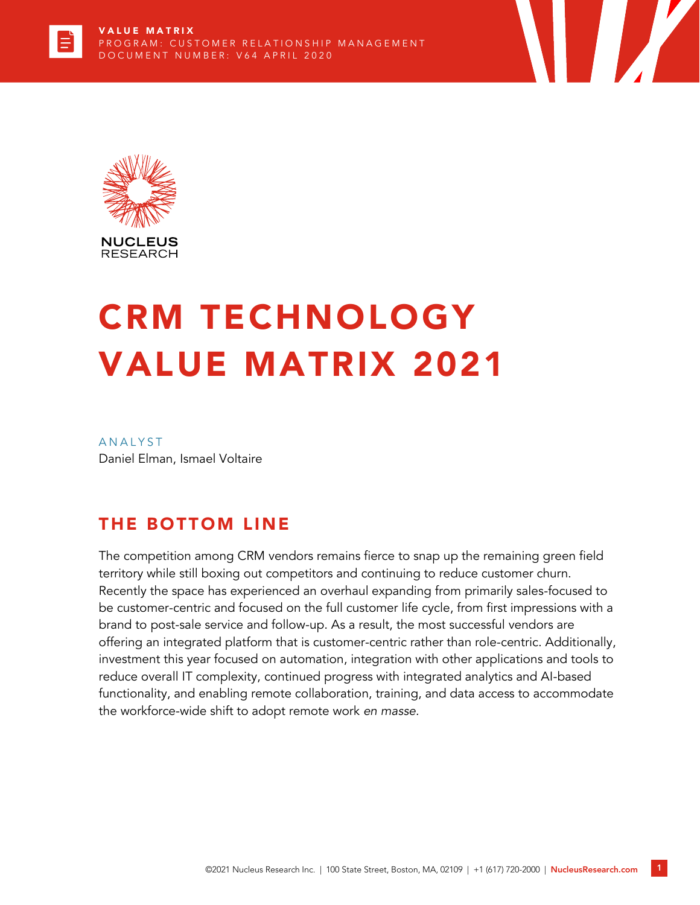



# CRM TECHNOLOGY VALUE MATRIX 2021

**ANALYST** Daniel Elman, Ismael Voltaire

# THE BOTTOM LINE

The competition among CRM vendors remains fierce to snap up the remaining green field territory while still boxing out competitors and continuing to reduce customer churn. Recently the space has experienced an overhaul expanding from primarily sales-focused to be customer-centric and focused on the full customer life cycle, from first impressions with a brand to post-sale service and follow-up. As a result, the most successful vendors are offering an integrated platform that is customer-centric rather than role-centric. Additionally, investment this year focused on automation, integration with other applications and tools to reduce overall IT complexity, continued progress with integrated analytics and AI-based functionality, and enabling remote collaboration, training, and data access to accommodate the workforce-wide shift to adopt remote work *en masse.*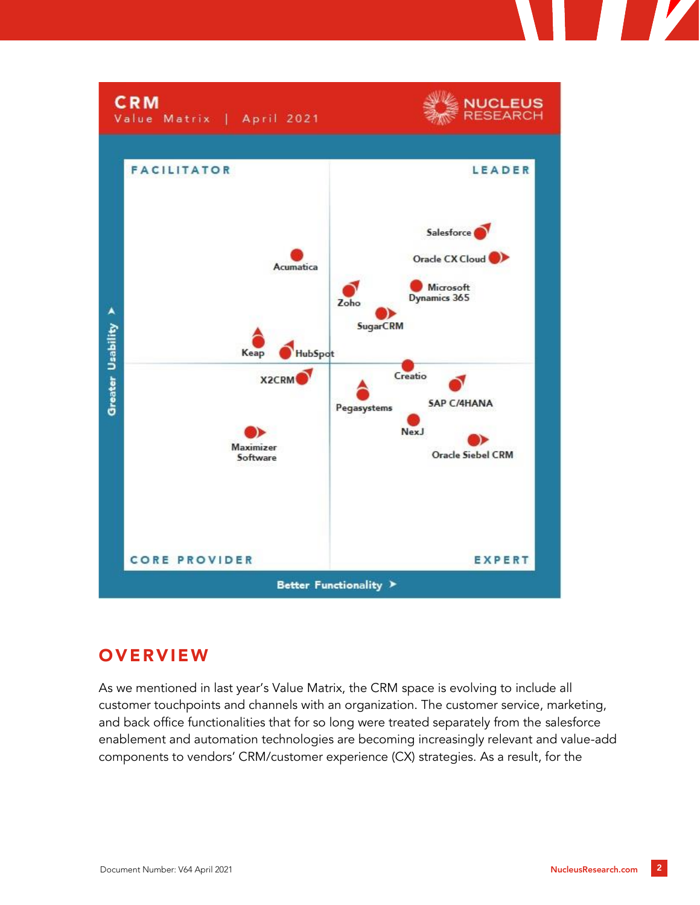

# **OVERVIEW**

As we mentioned in last year's Value Matrix, the CRM space is evolving to include all customer touchpoints and channels with an organization. The customer service, marketing, and back office functionalities that for so long were treated separately from the salesforce enablement and automation technologies are becoming increasingly relevant and value-add components to vendors' CRM/customer experience (CX) strategies. As a result, for the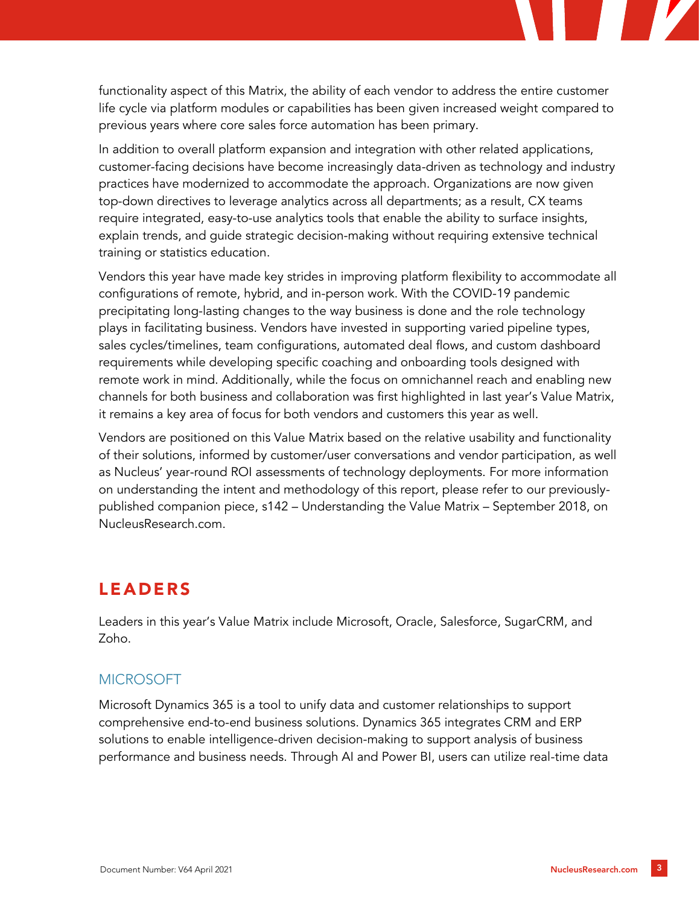functionality aspect of this Matrix, the ability of each vendor to address the entire customer life cycle via platform modules or capabilities has been given increased weight compared to previous years where core sales force automation has been primary.

In addition to overall platform expansion and integration with other related applications, customer-facing decisions have become increasingly data-driven as technology and industry practices have modernized to accommodate the approach. Organizations are now given top-down directives to leverage analytics across all departments; as a result, CX teams require integrated, easy-to-use analytics tools that enable the ability to surface insights, explain trends, and guide strategic decision-making without requiring extensive technical training or statistics education.

Vendors this year have made key strides in improving platform flexibility to accommodate all configurations of remote, hybrid, and in-person work. With the COVID-19 pandemic precipitating long-lasting changes to the way business is done and the role technology plays in facilitating business. Vendors have invested in supporting varied pipeline types, sales cycles/timelines, team configurations, automated deal flows, and custom dashboard requirements while developing specific coaching and onboarding tools designed with remote work in mind. Additionally, while the focus on omnichannel reach and enabling new channels for both business and collaboration was first highlighted in last year's Value Matrix, it remains a key area of focus for both vendors and customers this year as well.

Vendors are positioned on this Value Matrix based on the relative usability and functionality of their solutions, informed by customer/user conversations and vendor participation, as well as Nucleus' year-round ROI assessments of technology deployments. For more information on understanding the intent and methodology of this report, please refer to our previouslypublished companion piece, s142 – Understanding the Value Matrix – September 2018, on NucleusResearch.com.

# LEADERS

Leaders in this year's Value Matrix include Microsoft, Oracle, Salesforce, SugarCRM, and Zoho.

## MICROSOFT

Microsoft Dynamics 365 is a tool to unify data and customer relationships to support comprehensive end-to-end business solutions. Dynamics 365 integrates CRM and ERP solutions to enable intelligence-driven decision-making to support analysis of business performance and business needs. Through AI and Power BI, users can utilize real-time data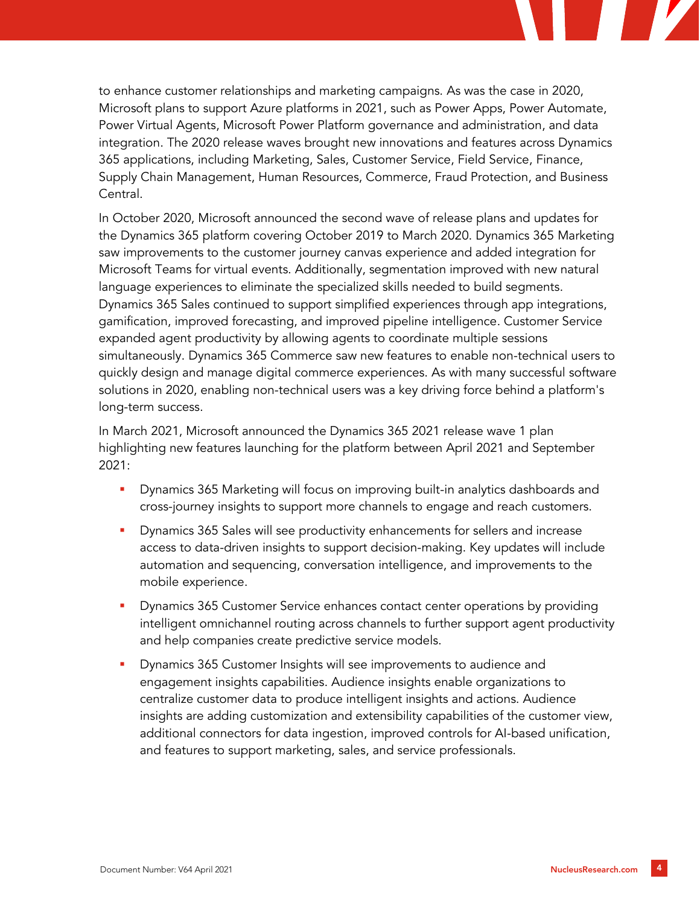to enhance customer relationships and marketing campaigns. As was the case in 2020, Microsoft plans to support Azure platforms in 2021, such as Power Apps, Power Automate, Power Virtual Agents, Microsoft Power Platform governance and administration, and data integration. The 2020 release waves brought new innovations and features across Dynamics 365 applications, including Marketing, Sales, Customer Service, Field Service, Finance, Supply Chain Management, Human Resources, Commerce, Fraud Protection, and Business Central.

In October 2020, Microsoft announced the second wave of release plans and updates for the Dynamics 365 platform covering October 2019 to March 2020. Dynamics 365 Marketing saw improvements to the customer journey canvas experience and added integration for Microsoft Teams for virtual events. Additionally, segmentation improved with new natural language experiences to eliminate the specialized skills needed to build segments. Dynamics 365 Sales continued to support simplified experiences through app integrations, gamification, improved forecasting, and improved pipeline intelligence. Customer Service expanded agent productivity by allowing agents to coordinate multiple sessions simultaneously. Dynamics 365 Commerce saw new features to enable non-technical users to quickly design and manage digital commerce experiences. As with many successful software solutions in 2020, enabling non-technical users was a key driving force behind a platform's long-term success.

In March 2021, Microsoft announced the Dynamics 365 2021 release wave 1 plan highlighting new features launching for the platform between April 2021 and September 2021:

- Dynamics 365 Marketing will focus on improving built-in analytics dashboards and cross-journey insights to support more channels to engage and reach customers.
- Dynamics 365 Sales will see productivity enhancements for sellers and increase access to data-driven insights to support decision-making. Key updates will include automation and sequencing, conversation intelligence, and improvements to the mobile experience.
- **•** Dynamics 365 Customer Service enhances contact center operations by providing intelligent omnichannel routing across channels to further support agent productivity and help companies create predictive service models.
- Dynamics 365 Customer Insights will see improvements to audience and engagement insights capabilities. Audience insights enable organizations to centralize customer data to produce intelligent insights and actions. Audience insights are adding customization and extensibility capabilities of the customer view, additional connectors for data ingestion, improved controls for AI-based unification, and features to support marketing, sales, and service professionals.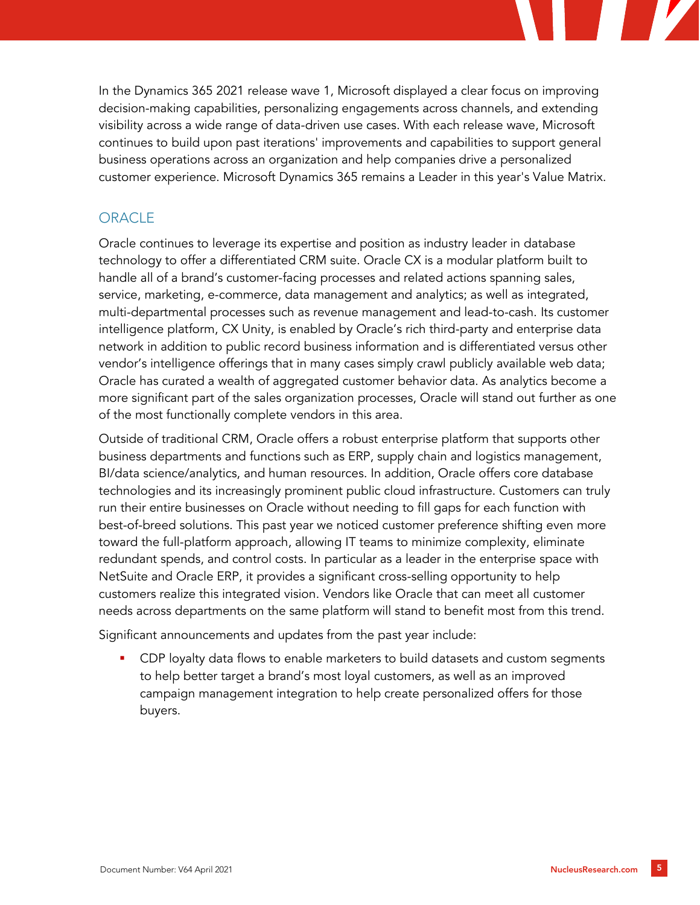In the Dynamics 365 2021 release wave 1, Microsoft displayed a clear focus on improving decision-making capabilities, personalizing engagements across channels, and extending visibility across a wide range of data-driven use cases. With each release wave, Microsoft continues to build upon past iterations' improvements and capabilities to support general business operations across an organization and help companies drive a personalized customer experience. Microsoft Dynamics 365 remains a Leader in this year's Value Matrix.

## **ORACLE**

Oracle continues to leverage its expertise and position as industry leader in database technology to offer a differentiated CRM suite. Oracle CX is a modular platform built to handle all of a brand's customer-facing processes and related actions spanning sales, service, marketing, e-commerce, data management and analytics; as well as integrated, multi-departmental processes such as revenue management and lead-to-cash. Its customer intelligence platform, CX Unity, is enabled by Oracle's rich third-party and enterprise data network in addition to public record business information and is differentiated versus other vendor's intelligence offerings that in many cases simply crawl publicly available web data; Oracle has curated a wealth of aggregated customer behavior data. As analytics become a more significant part of the sales organization processes, Oracle will stand out further as one of the most functionally complete vendors in this area.

Outside of traditional CRM, Oracle offers a robust enterprise platform that supports other business departments and functions such as ERP, supply chain and logistics management, BI/data science/analytics, and human resources. In addition, Oracle offers core database technologies and its increasingly prominent public cloud infrastructure. Customers can truly run their entire businesses on Oracle without needing to fill gaps for each function with best-of-breed solutions. This past year we noticed customer preference shifting even more toward the full-platform approach, allowing IT teams to minimize complexity, eliminate redundant spends, and control costs. In particular as a leader in the enterprise space with NetSuite and Oracle ERP, it provides a significant cross-selling opportunity to help customers realize this integrated vision. Vendors like Oracle that can meet all customer needs across departments on the same platform will stand to benefit most from this trend.

Significant announcements and updates from the past year include:

CDP loyalty data flows to enable marketers to build datasets and custom segments to help better target a brand's most loyal customers, as well as an improved campaign management integration to help create personalized offers for those buyers.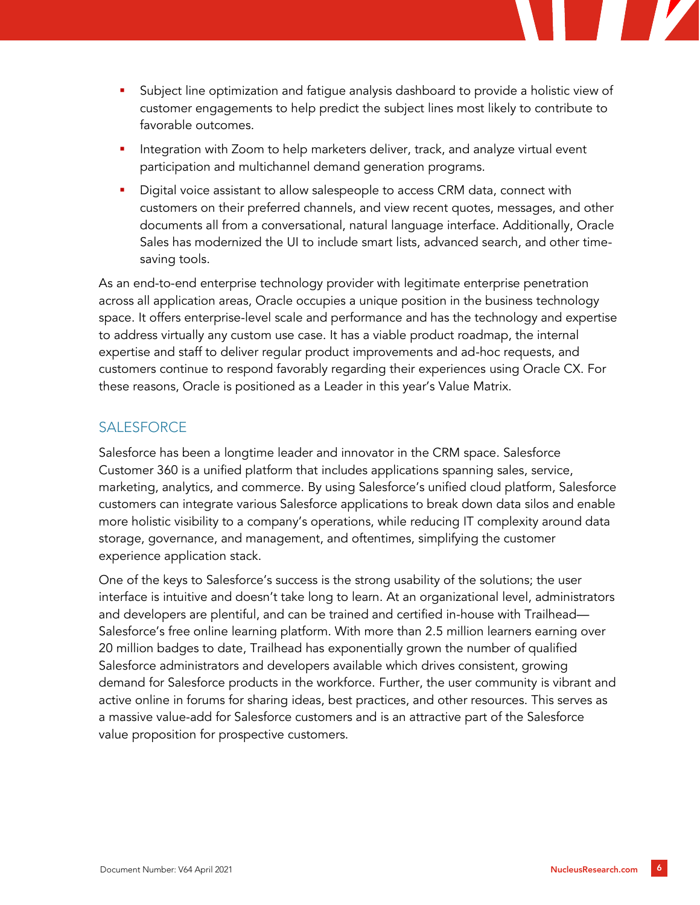

- Integration with Zoom to help marketers deliver, track, and analyze virtual event participation and multichannel demand generation programs.
- Digital voice assistant to allow salespeople to access CRM data, connect with customers on their preferred channels, and view recent quotes, messages, and other documents all from a conversational, natural language interface. Additionally, Oracle Sales has modernized the UI to include smart lists, advanced search, and other timesaving tools.

As an end-to-end enterprise technology provider with legitimate enterprise penetration across all application areas, Oracle occupies a unique position in the business technology space. It offers enterprise-level scale and performance and has the technology and expertise to address virtually any custom use case. It has a viable product roadmap, the internal expertise and staff to deliver regular product improvements and ad-hoc requests, and customers continue to respond favorably regarding their experiences using Oracle CX. For these reasons, Oracle is positioned as a Leader in this year's Value Matrix.

## **SALESFORCE**

Salesforce has been a longtime leader and innovator in the CRM space. Salesforce Customer 360 is a unified platform that includes applications spanning sales, service, marketing, analytics, and commerce. By using Salesforce's unified cloud platform, Salesforce customers can integrate various Salesforce applications to break down data silos and enable more holistic visibility to a company's operations, while reducing IT complexity around data storage, governance, and management, and oftentimes, simplifying the customer experience application stack.

One of the keys to Salesforce's success is the strong usability of the solutions; the user interface is intuitive and doesn't take long to learn. At an organizational level, administrators and developers are plentiful, and can be trained and certified in-house with Trailhead— Salesforce's free online learning platform. With more than 2.5 million learners earning over 20 million badges to date, Trailhead has exponentially grown the number of qualified Salesforce administrators and developers available which drives consistent, growing demand for Salesforce products in the workforce. Further, the user community is vibrant and active online in forums for sharing ideas, best practices, and other resources. This serves as a massive value-add for Salesforce customers and is an attractive part of the Salesforce value proposition for prospective customers.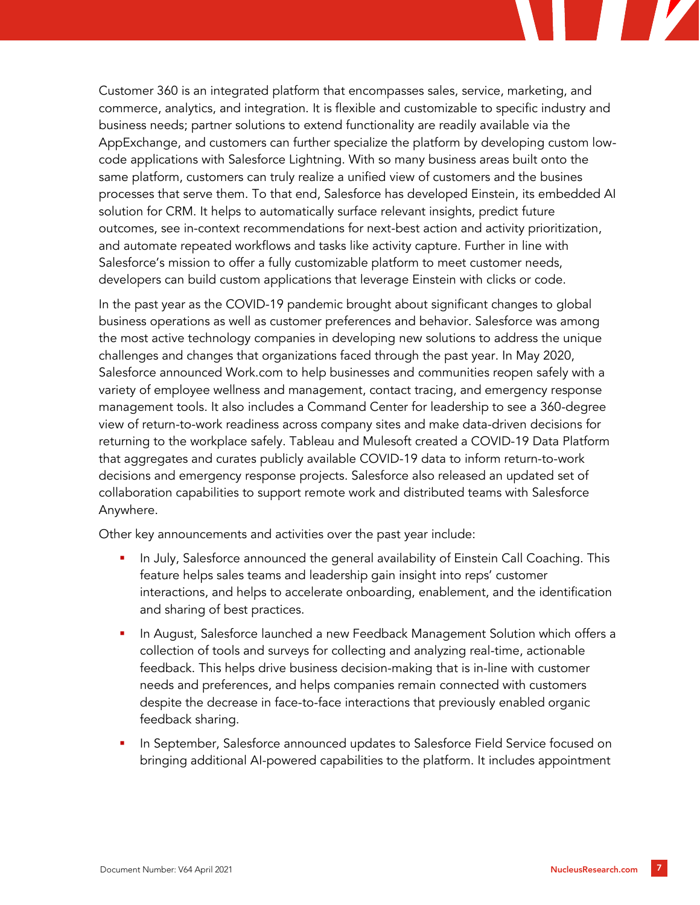Customer 360 is an integrated platform that encompasses sales, service, marketing, and commerce, analytics, and integration. It is flexible and customizable to specific industry and business needs; partner solutions to extend functionality are readily available via the AppExchange, and customers can further specialize the platform by developing custom lowcode applications with Salesforce Lightning. With so many business areas built onto the same platform, customers can truly realize a unified view of customers and the busines processes that serve them. To that end, Salesforce has developed Einstein, its embedded AI solution for CRM. It helps to automatically surface relevant insights, predict future outcomes, see in-context recommendations for next-best action and activity prioritization, and automate repeated workflows and tasks like activity capture. Further in line with Salesforce's mission to offer a fully customizable platform to meet customer needs, developers can build custom applications that leverage Einstein with clicks or code.

In the past year as the COVID-19 pandemic brought about significant changes to global business operations as well as customer preferences and behavior. Salesforce was among the most active technology companies in developing new solutions to address the unique challenges and changes that organizations faced through the past year. In May 2020, Salesforce announced Work.com to help businesses and communities reopen safely with a variety of employee wellness and management, contact tracing, and emergency response management tools. It also includes a Command Center for leadership to see a 360-degree view of return-to-work readiness across company sites and make data-driven decisions for returning to the workplace safely. Tableau and Mulesoft created a COVID-19 Data Platform that aggregates and curates publicly available COVID-19 data to inform return-to-work decisions and emergency response projects. Salesforce also released an updated set of collaboration capabilities to support remote work and distributed teams with Salesforce Anywhere.

Other key announcements and activities over the past year include:

- In July, Salesforce announced the general availability of Einstein Call Coaching. This feature helps sales teams and leadership gain insight into reps' customer interactions, and helps to accelerate onboarding, enablement, and the identification and sharing of best practices.
- In August, Salesforce launched a new Feedback Management Solution which offers a collection of tools and surveys for collecting and analyzing real-time, actionable feedback. This helps drive business decision-making that is in-line with customer needs and preferences, and helps companies remain connected with customers despite the decrease in face-to-face interactions that previously enabled organic feedback sharing.
- In September, Salesforce announced updates to Salesforce Field Service focused on bringing additional AI-powered capabilities to the platform. It includes appointment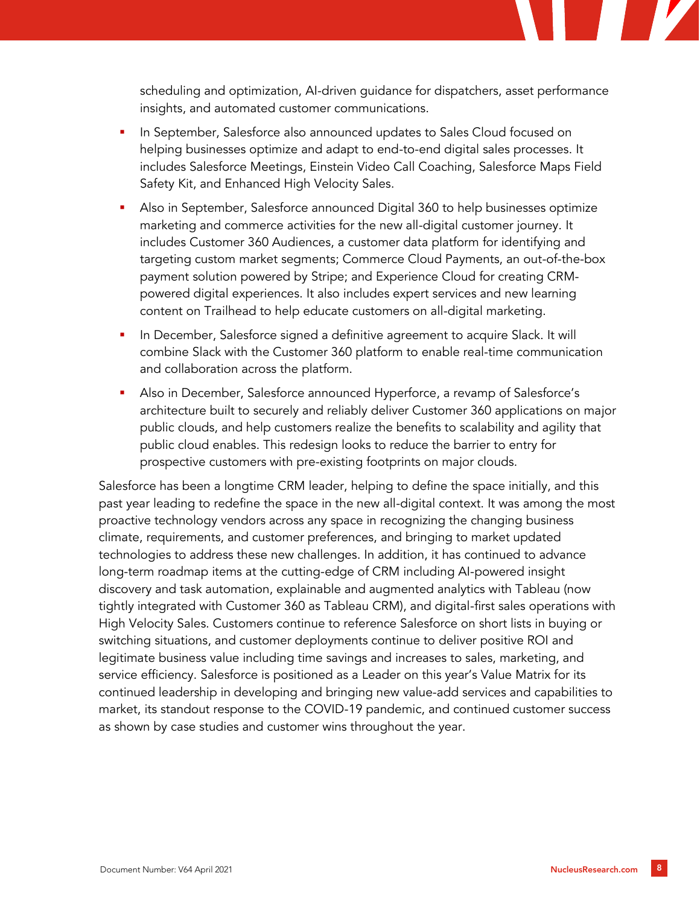scheduling and optimization, AI-driven guidance for dispatchers, asset performance insights, and automated customer communications.

- In September, Salesforce also announced updates to Sales Cloud focused on helping businesses optimize and adapt to end-to-end digital sales processes. It includes Salesforce Meetings, Einstein Video Call Coaching, Salesforce Maps Field Safety Kit, and Enhanced High Velocity Sales.
- Also in September, Salesforce announced Digital 360 to help businesses optimize marketing and commerce activities for the new all-digital customer journey. It includes Customer 360 Audiences, a customer data platform for identifying and targeting custom market segments; Commerce Cloud Payments, an out-of-the-box payment solution powered by Stripe; and Experience Cloud for creating CRMpowered digital experiences. It also includes expert services and new learning content on Trailhead to help educate customers on all-digital marketing.
- In December, Salesforce signed a definitive agreement to acquire Slack. It will combine Slack with the Customer 360 platform to enable real-time communication and collaboration across the platform.
- Also in December, Salesforce announced Hyperforce, a revamp of Salesforce's architecture built to securely and reliably deliver Customer 360 applications on major public clouds, and help customers realize the benefits to scalability and agility that public cloud enables. This redesign looks to reduce the barrier to entry for prospective customers with pre-existing footprints on major clouds.

Salesforce has been a longtime CRM leader, helping to define the space initially, and this past year leading to redefine the space in the new all-digital context. It was among the most proactive technology vendors across any space in recognizing the changing business climate, requirements, and customer preferences, and bringing to market updated technologies to address these new challenges. In addition, it has continued to advance long-term roadmap items at the cutting-edge of CRM including AI-powered insight discovery and task automation, explainable and augmented analytics with Tableau (now tightly integrated with Customer 360 as Tableau CRM), and digital-first sales operations with High Velocity Sales. Customers continue to reference Salesforce on short lists in buying or switching situations, and customer deployments continue to deliver positive ROI and legitimate business value including time savings and increases to sales, marketing, and service efficiency. Salesforce is positioned as a Leader on this year's Value Matrix for its continued leadership in developing and bringing new value-add services and capabilities to market, its standout response to the COVID-19 pandemic, and continued customer success as shown by case studies and customer wins throughout the year.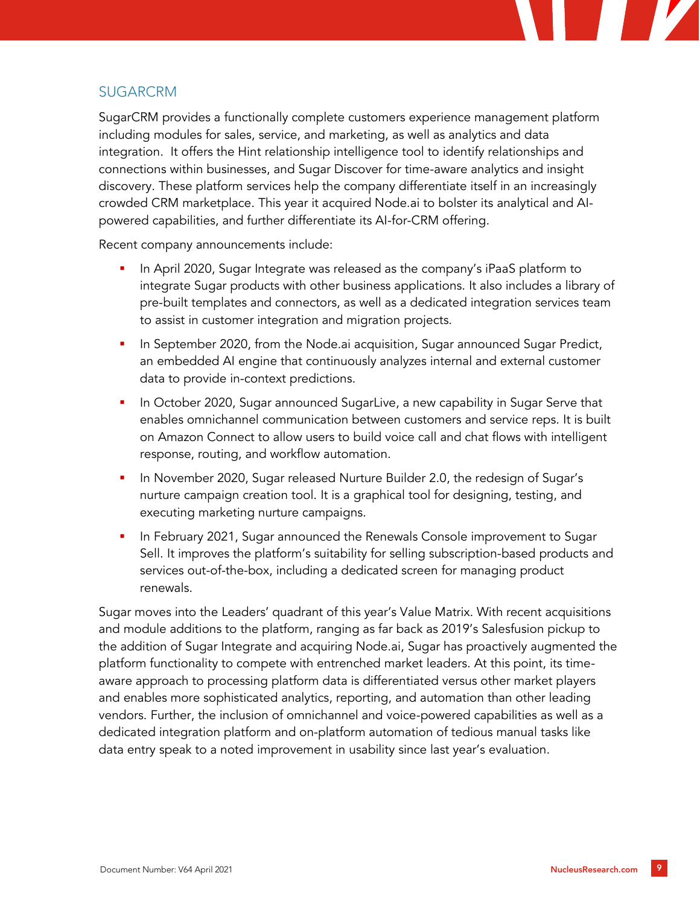

#### SUGARCRM

SugarCRM provides a functionally complete customers experience management platform including modules for sales, service, and marketing, as well as analytics and data integration. It offers the Hint relationship intelligence tool to identify relationships and connections within businesses, and Sugar Discover for time-aware analytics and insight discovery. These platform services help the company differentiate itself in an increasingly crowded CRM marketplace. This year it acquired Node.ai to bolster its analytical and AIpowered capabilities, and further differentiate its AI-for-CRM offering.

Recent company announcements include:

- In April 2020, Sugar Integrate was released as the company's iPaaS platform to integrate Sugar products with other business applications. It also includes a library of pre-built templates and connectors, as well as a dedicated integration services team to assist in customer integration and migration projects.
- In September 2020, from the Node.ai acquisition, Sugar announced Sugar Predict, an embedded AI engine that continuously analyzes internal and external customer data to provide in-context predictions.
- In October 2020, Sugar announced SugarLive, a new capability in Sugar Serve that enables omnichannel communication between customers and service reps. It is built on Amazon Connect to allow users to build voice call and chat flows with intelligent response, routing, and workflow automation.
- In November 2020, Sugar released Nurture Builder 2.0, the redesign of Sugar's nurture campaign creation tool. It is a graphical tool for designing, testing, and executing marketing nurture campaigns.
- In February 2021, Sugar announced the Renewals Console improvement to Sugar Sell. It improves the platform's suitability for selling subscription-based products and services out-of-the-box, including a dedicated screen for managing product renewals.

Sugar moves into the Leaders' quadrant of this year's Value Matrix. With recent acquisitions and module additions to the platform, ranging as far back as 2019's Salesfusion pickup to the addition of Sugar Integrate and acquiring Node.ai, Sugar has proactively augmented the platform functionality to compete with entrenched market leaders. At this point, its timeaware approach to processing platform data is differentiated versus other market players and enables more sophisticated analytics, reporting, and automation than other leading vendors. Further, the inclusion of omnichannel and voice-powered capabilities as well as a dedicated integration platform and on-platform automation of tedious manual tasks like data entry speak to a noted improvement in usability since last year's evaluation.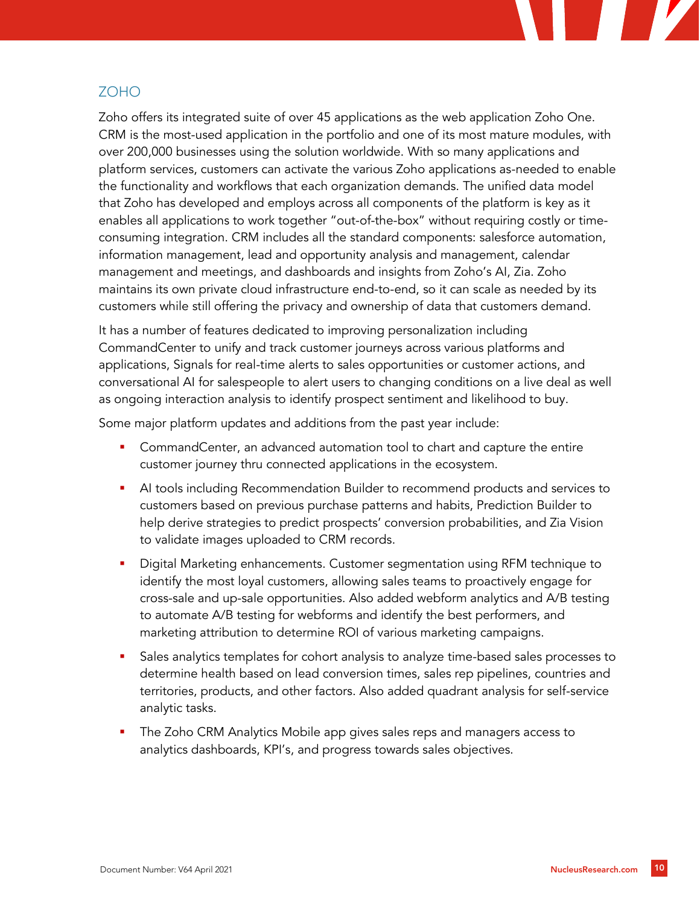#### ZOHO

Zoho offers its integrated suite of over 45 applications as the web application Zoho One. CRM is the most-used application in the portfolio and one of its most mature modules, with over 200,000 businesses using the solution worldwide. With so many applications and platform services, customers can activate the various Zoho applications as-needed to enable the functionality and workflows that each organization demands. The unified data model that Zoho has developed and employs across all components of the platform is key as it enables all applications to work together "out-of-the-box" without requiring costly or timeconsuming integration. CRM includes all the standard components: salesforce automation, information management, lead and opportunity analysis and management, calendar management and meetings, and dashboards and insights from Zoho's AI, Zia. Zoho maintains its own private cloud infrastructure end-to-end, so it can scale as needed by its customers while still offering the privacy and ownership of data that customers demand.

It has a number of features dedicated to improving personalization including CommandCenter to unify and track customer journeys across various platforms and applications, Signals for real-time alerts to sales opportunities or customer actions, and conversational AI for salespeople to alert users to changing conditions on a live deal as well as ongoing interaction analysis to identify prospect sentiment and likelihood to buy.

Some major platform updates and additions from the past year include:

- **•** CommandCenter, an advanced automation tool to chart and capture the entire customer journey thru connected applications in the ecosystem.
- AI tools including Recommendation Builder to recommend products and services to customers based on previous purchase patterns and habits, Prediction Builder to help derive strategies to predict prospects' conversion probabilities, and Zia Vision to validate images uploaded to CRM records.
- **•** Digital Marketing enhancements. Customer segmentation using RFM technique to identify the most loyal customers, allowing sales teams to proactively engage for cross-sale and up-sale opportunities. Also added webform analytics and A/B testing to automate A/B testing for webforms and identify the best performers, and marketing attribution to determine ROI of various marketing campaigns.
- Sales analytics templates for cohort analysis to analyze time-based sales processes to determine health based on lead conversion times, sales rep pipelines, countries and territories, products, and other factors. Also added quadrant analysis for self-service analytic tasks.
- The Zoho CRM Analytics Mobile app gives sales reps and managers access to analytics dashboards, KPI's, and progress towards sales objectives.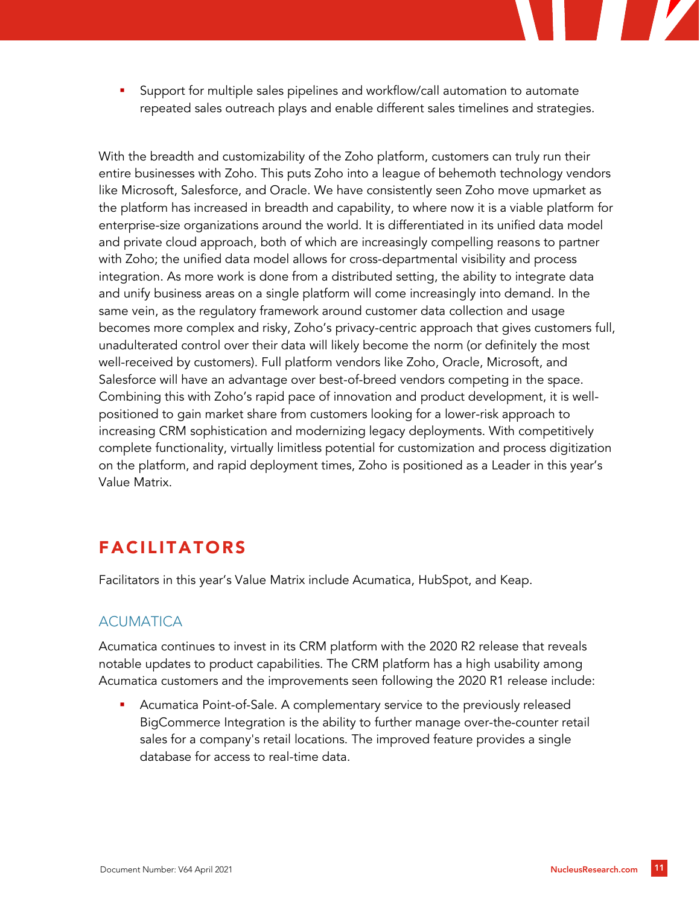Support for multiple sales pipelines and workflow/call automation to automate repeated sales outreach plays and enable different sales timelines and strategies.

With the breadth and customizability of the Zoho platform, customers can truly run their entire businesses with Zoho. This puts Zoho into a league of behemoth technology vendors like Microsoft, Salesforce, and Oracle. We have consistently seen Zoho move upmarket as the platform has increased in breadth and capability, to where now it is a viable platform for enterprise-size organizations around the world. It is differentiated in its unified data model and private cloud approach, both of which are increasingly compelling reasons to partner with Zoho; the unified data model allows for cross-departmental visibility and process integration. As more work is done from a distributed setting, the ability to integrate data and unify business areas on a single platform will come increasingly into demand. In the same vein, as the regulatory framework around customer data collection and usage becomes more complex and risky, Zoho's privacy-centric approach that gives customers full, unadulterated control over their data will likely become the norm (or definitely the most well-received by customers). Full platform vendors like Zoho, Oracle, Microsoft, and Salesforce will have an advantage over best-of-breed vendors competing in the space. Combining this with Zoho's rapid pace of innovation and product development, it is wellpositioned to gain market share from customers looking for a lower-risk approach to increasing CRM sophistication and modernizing legacy deployments. With competitively complete functionality, virtually limitless potential for customization and process digitization on the platform, and rapid deployment times, Zoho is positioned as a Leader in this year's Value Matrix.

# FACILITATORS

Facilitators in this year's Value Matrix include Acumatica, HubSpot, and Keap.

## **ACUMATICA**

Acumatica continues to invest in its CRM platform with the 2020 R2 release that reveals notable updates to product capabilities. The CRM platform has a high usability among Acumatica customers and the improvements seen following the 2020 R1 release include:

Acumatica Point-of-Sale. A complementary service to the previously released BigCommerce Integration is the ability to further manage over-the-counter retail sales for a company's retail locations. The improved feature provides a single database for access to real-time data.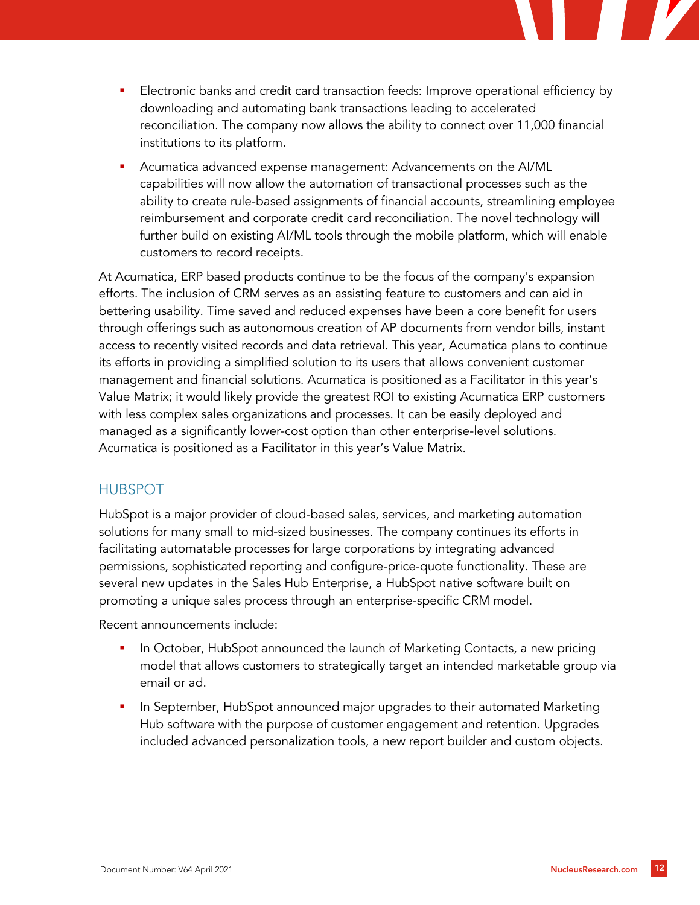

- Electronic banks and credit card transaction feeds: Improve operational efficiency by downloading and automating bank transactions leading to accelerated reconciliation. The company now allows the ability to connect over 11,000 financial institutions to its platform.
- Acumatica advanced expense management: Advancements on the AI/ML capabilities will now allow the automation of transactional processes such as the ability to create rule-based assignments of financial accounts, streamlining employee reimbursement and corporate credit card reconciliation. The novel technology will further build on existing AI/ML tools through the mobile platform, which will enable customers to record receipts.

At Acumatica, ERP based products continue to be the focus of the company's expansion efforts. The inclusion of CRM serves as an assisting feature to customers and can aid in bettering usability. Time saved and reduced expenses have been a core benefit for users through offerings such as autonomous creation of AP documents from vendor bills, instant access to recently visited records and data retrieval. This year, Acumatica plans to continue its efforts in providing a simplified solution to its users that allows convenient customer management and financial solutions. Acumatica is positioned as a Facilitator in this year's Value Matrix; it would likely provide the greatest ROI to existing Acumatica ERP customers with less complex sales organizations and processes. It can be easily deployed and managed as a significantly lower-cost option than other enterprise-level solutions. Acumatica is positioned as a Facilitator in this year's Value Matrix.

## HUBSPOT

HubSpot is a major provider of cloud-based sales, services, and marketing automation solutions for many small to mid-sized businesses. The company continues its efforts in facilitating automatable processes for large corporations by integrating advanced permissions, sophisticated reporting and configure-price-quote functionality. These are several new updates in the Sales Hub Enterprise, a HubSpot native software built on promoting a unique sales process through an enterprise-specific CRM model.

Recent announcements include:

- In October, HubSpot announced the launch of Marketing Contacts, a new pricing model that allows customers to strategically target an intended marketable group via email or ad.
- In September, HubSpot announced major upgrades to their automated Marketing Hub software with the purpose of customer engagement and retention. Upgrades included advanced personalization tools, a new report builder and custom objects.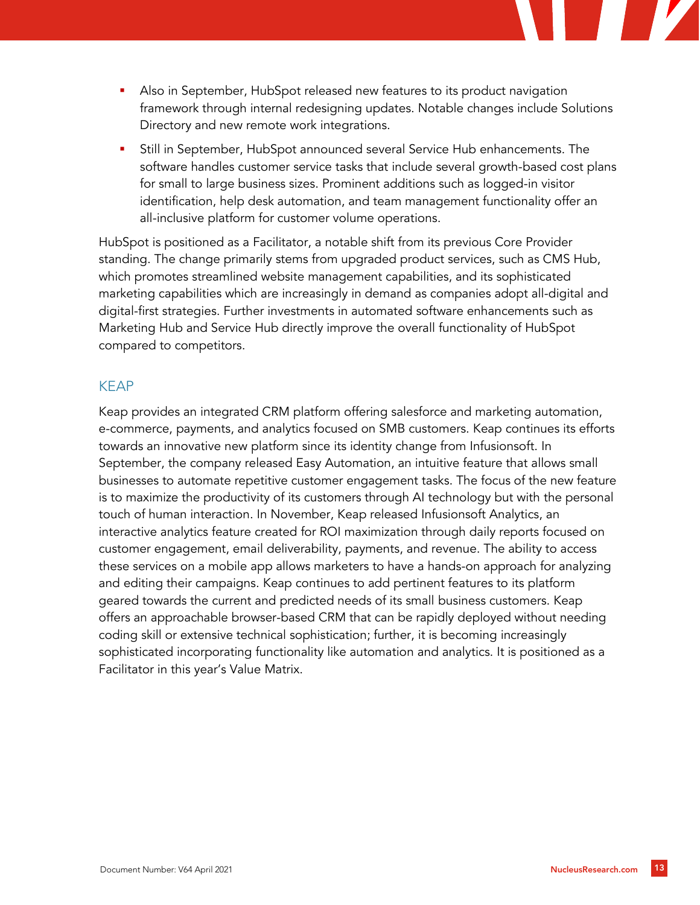- Also in September, HubSpot released new features to its product navigation framework through internal redesigning updates. Notable changes include Solutions Directory and new remote work integrations.
- Still in September, HubSpot announced several Service Hub enhancements. The software handles customer service tasks that include several growth-based cost plans for small to large business sizes. Prominent additions such as logged-in visitor identification, help desk automation, and team management functionality offer an all-inclusive platform for customer volume operations.

HubSpot is positioned as a Facilitator, a notable shift from its previous Core Provider standing. The change primarily stems from upgraded product services, such as CMS Hub, which promotes streamlined website management capabilities, and its sophisticated marketing capabilities which are increasingly in demand as companies adopt all-digital and digital-first strategies. Further investments in automated software enhancements such as Marketing Hub and Service Hub directly improve the overall functionality of HubSpot compared to competitors.

#### KEAP

Keap provides an integrated CRM platform offering salesforce and marketing automation, e-commerce, payments, and analytics focused on SMB customers. Keap continues its efforts towards an innovative new platform since its identity change from Infusionsoft. In September, the company released Easy Automation, an intuitive feature that allows small businesses to automate repetitive customer engagement tasks. The focus of the new feature is to maximize the productivity of its customers through AI technology but with the personal touch of human interaction. In November, Keap released Infusionsoft Analytics, an interactive analytics feature created for ROI maximization through daily reports focused on customer engagement, email deliverability, payments, and revenue. The ability to access these services on a mobile app allows marketers to have a hands-on approach for analyzing and editing their campaigns. Keap continues to add pertinent features to its platform geared towards the current and predicted needs of its small business customers. Keap offers an approachable browser-based CRM that can be rapidly deployed without needing coding skill or extensive technical sophistication; further, it is becoming increasingly sophisticated incorporating functionality like automation and analytics. It is positioned as a Facilitator in this year's Value Matrix.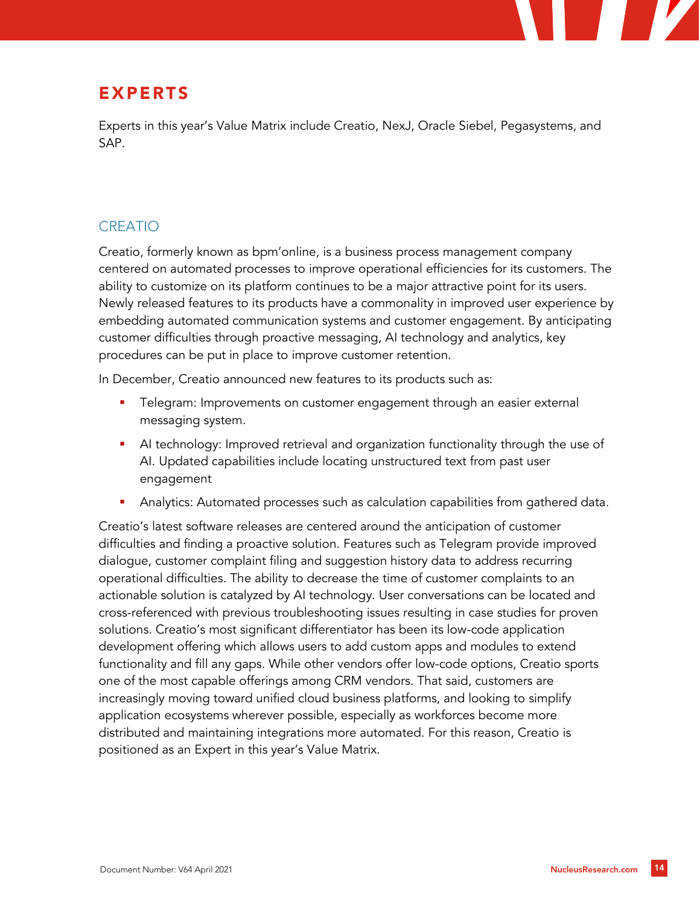

# EXPERTS

Experts in this year's Value Matrix include Creatio, NexJ, Oracle Siebel, Pegasystems, and SAP.

# CREATIO

Creatio, formerly known as bpm'online, is a business process management company centered on automated processes to improve operational efficiencies for its customers. The ability to customize on its platform continues to be a major attractive point for its users. Newly released features to its products have a commonality in improved user experience by embedding automated communication systems and customer engagement. By anticipating customer difficulties through proactive messaging, AI technology and analytics, key procedures can be put in place to improve customer retention.

In December, Creatio announced new features to its products such as:

- Telegram: Improvements on customer engagement through an easier external messaging system.
- **•** AI technology: Improved retrieval and organization functionality through the use of AI. Updated capabilities include locating unstructured text from past user engagement
- Analytics: Automated processes such as calculation capabilities from gathered data.

Creatio's latest software releases are centered around the anticipation of customer difficulties and finding a proactive solution. Features such as Telegram provide improved dialogue, customer complaint filing and suggestion history data to address recurring operational difficulties. The ability to decrease the time of customer complaints to an actionable solution is catalyzed by AI technology. User conversations can be located and cross-referenced with previous troubleshooting issues resulting in case studies for proven solutions. Creatio's most significant differentiator has been its low-code application development offering which allows users to add custom apps and modules to extend functionality and fill any gaps. While other vendors offer low-code options, Creatio sports one of the most capable offerings among CRM vendors. That said, customers are increasingly moving toward unified cloud business platforms, and looking to simplify application ecosystems wherever possible, especially as workforces become more distributed and maintaining integrations more automated. For this reason, Creatio is positioned as an Expert in this year's Value Matrix.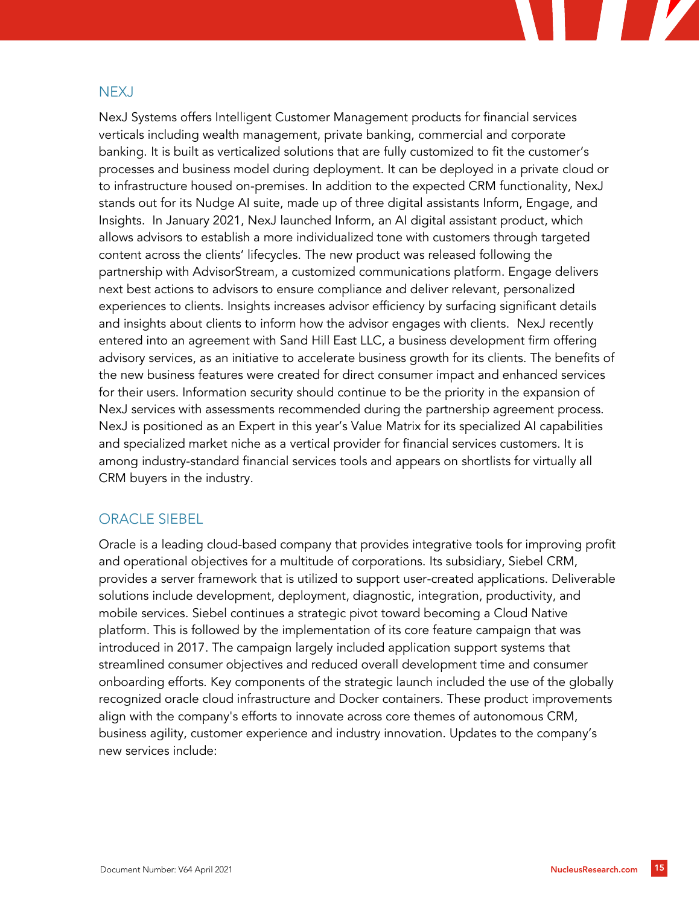#### NEXJ

NexJ Systems offers Intelligent Customer Management products for financial services verticals including wealth management, private banking, commercial and corporate banking. It is built as verticalized solutions that are fully customized to fit the customer's processes and business model during deployment. It can be deployed in a private cloud or to infrastructure housed on-premises. In addition to the expected CRM functionality, NexJ stands out for its Nudge AI suite, made up of three digital assistants Inform, Engage, and Insights. In January 2021, NexJ launched Inform, an AI digital assistant product, which allows advisors to establish a more individualized tone with customers through targeted content across the clients' lifecycles. The new product was released following the partnership with AdvisorStream, a customized communications platform. Engage delivers next best actions to advisors to ensure compliance and deliver relevant, personalized experiences to clients. Insights increases advisor efficiency by surfacing significant details and insights about clients to inform how the advisor engages with clients. NexJ recently entered into an agreement with Sand Hill East LLC, a business development firm offering advisory services, as an initiative to accelerate business growth for its clients. The benefits of the new business features were created for direct consumer impact and enhanced services for their users. Information security should continue to be the priority in the expansion of NexJ services with assessments recommended during the partnership agreement process. NexJ is positioned as an Expert in this year's Value Matrix for its specialized AI capabilities and specialized market niche as a vertical provider for financial services customers. It is among industry-standard financial services tools and appears on shortlists for virtually all CRM buyers in the industry.

#### ORACLE SIEBEL

Oracle is a leading cloud-based company that provides integrative tools for improving profit and operational objectives for a multitude of corporations. Its subsidiary, Siebel CRM, provides a server framework that is utilized to support user-created applications. Deliverable solutions include development, deployment, diagnostic, integration, productivity, and mobile services. Siebel continues a strategic pivot toward becoming a Cloud Native platform. This is followed by the implementation of its core feature campaign that was introduced in 2017. The campaign largely included application support systems that streamlined consumer objectives and reduced overall development time and consumer onboarding efforts. Key components of the strategic launch included the use of the globally recognized oracle cloud infrastructure and Docker containers. These product improvements align with the company's efforts to innovate across core themes of autonomous CRM, business agility, customer experience and industry innovation. Updates to the company's new services include: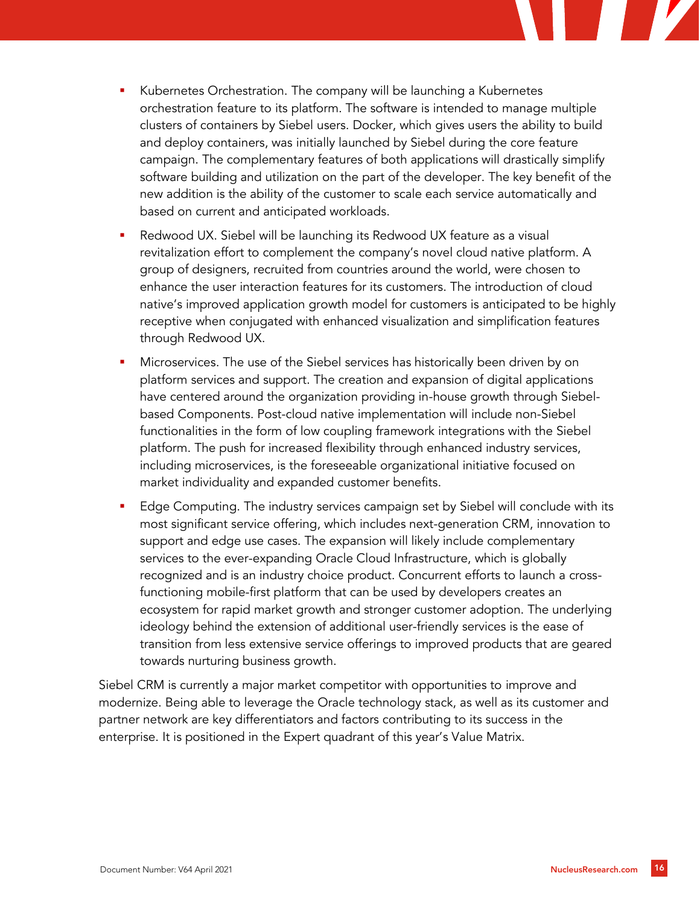

- Kubernetes Orchestration. The company will be launching a Kubernetes orchestration feature to its platform. The software is intended to manage multiple clusters of containers by Siebel users. Docker, which gives users the ability to build and deploy containers, was initially launched by Siebel during the core feature campaign. The complementary features of both applications will drastically simplify software building and utilization on the part of the developer. The key benefit of the new addition is the ability of the customer to scale each service automatically and based on current and anticipated workloads.
- Redwood UX. Siebel will be launching its Redwood UX feature as a visual revitalization effort to complement the company's novel cloud native platform. A group of designers, recruited from countries around the world, were chosen to enhance the user interaction features for its customers. The introduction of cloud native's improved application growth model for customers is anticipated to be highly receptive when conjugated with enhanced visualization and simplification features through Redwood UX.
- Microservices. The use of the Siebel services has historically been driven by on platform services and support. The creation and expansion of digital applications have centered around the organization providing in-house growth through Siebelbased Components. Post-cloud native implementation will include non-Siebel functionalities in the form of low coupling framework integrations with the Siebel platform. The push for increased flexibility through enhanced industry services, including microservices, is the foreseeable organizational initiative focused on market individuality and expanded customer benefits.
- Edge Computing. The industry services campaign set by Siebel will conclude with its most significant service offering, which includes next-generation CRM, innovation to support and edge use cases. The expansion will likely include complementary services to the ever-expanding Oracle Cloud Infrastructure, which is globally recognized and is an industry choice product. Concurrent efforts to launch a crossfunctioning mobile-first platform that can be used by developers creates an ecosystem for rapid market growth and stronger customer adoption. The underlying ideology behind the extension of additional user-friendly services is the ease of transition from less extensive service offerings to improved products that are geared towards nurturing business growth.

Siebel CRM is currently a major market competitor with opportunities to improve and modernize. Being able to leverage the Oracle technology stack, as well as its customer and partner network are key differentiators and factors contributing to its success in the enterprise. It is positioned in the Expert quadrant of this year's Value Matrix.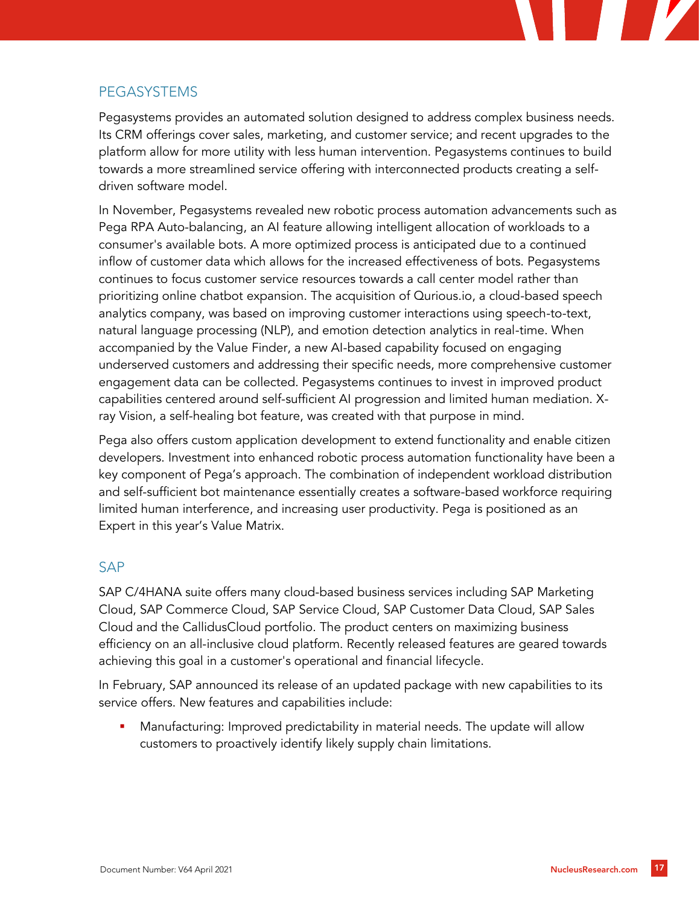

## **PEGASYSTEMS**

Pegasystems provides an automated solution designed to address complex business needs. Its CRM offerings cover sales, marketing, and customer service; and recent upgrades to the platform allow for more utility with less human intervention. Pegasystems continues to build towards a more streamlined service offering with interconnected products creating a selfdriven software model.

In November, Pegasystems revealed new robotic process automation advancements such as Pega RPA Auto-balancing, an AI feature allowing intelligent allocation of workloads to a consumer's available bots. A more optimized process is anticipated due to a continued inflow of customer data which allows for the increased effectiveness of bots. Pegasystems continues to focus customer service resources towards a call center model rather than prioritizing online chatbot expansion. The acquisition of Qurious.io, a cloud-based speech analytics company, was based on improving customer interactions using speech-to-text, natural language processing (NLP), and emotion detection analytics in real-time. When accompanied by the Value Finder, a new AI-based capability focused on engaging underserved customers and addressing their specific needs, more comprehensive customer engagement data can be collected. Pegasystems continues to invest in improved product capabilities centered around self-sufficient AI progression and limited human mediation. Xray Vision, a self-healing bot feature, was created with that purpose in mind.

Pega also offers custom application development to extend functionality and enable citizen developers. Investment into enhanced robotic process automation functionality have been a key component of Pega's approach. The combination of independent workload distribution and self-sufficient bot maintenance essentially creates a software-based workforce requiring limited human interference, and increasing user productivity. Pega is positioned as an Expert in this year's Value Matrix.

## SAP

SAP C/4HANA suite offers many cloud-based business services including SAP Marketing Cloud, SAP Commerce Cloud, SAP Service Cloud, SAP Customer Data Cloud, SAP Sales Cloud and the CallidusCloud portfolio. The product centers on maximizing business efficiency on an all-inclusive cloud platform. Recently released features are geared towards achieving this goal in a customer's operational and financial lifecycle.

In February, SAP announced its release of an updated package with new capabilities to its service offers. New features and capabilities include:

Manufacturing: Improved predictability in material needs. The update will allow customers to proactively identify likely supply chain limitations.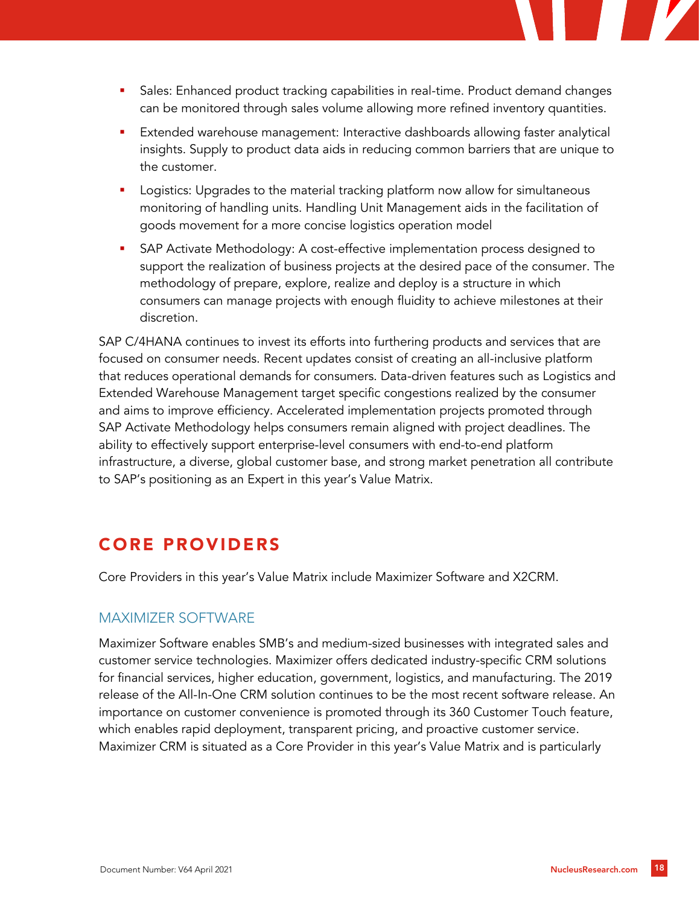- **•** Sales: Enhanced product tracking capabilities in real-time. Product demand changes can be monitored through sales volume allowing more refined inventory quantities.
- Extended warehouse management: Interactive dashboards allowing faster analytical insights. Supply to product data aids in reducing common barriers that are unique to the customer.
- Logistics: Upgrades to the material tracking platform now allow for simultaneous monitoring of handling units. Handling Unit Management aids in the facilitation of goods movement for a more concise logistics operation model
- SAP Activate Methodology: A cost-effective implementation process designed to support the realization of business projects at the desired pace of the consumer. The methodology of prepare, explore, realize and deploy is a structure in which consumers can manage projects with enough fluidity to achieve milestones at their discretion.

SAP C/4HANA continues to invest its efforts into furthering products and services that are focused on consumer needs. Recent updates consist of creating an all-inclusive platform that reduces operational demands for consumers. Data-driven features such as Logistics and Extended Warehouse Management target specific congestions realized by the consumer and aims to improve efficiency. Accelerated implementation projects promoted through SAP Activate Methodology helps consumers remain aligned with project deadlines. The ability to effectively support enterprise-level consumers with end-to-end platform infrastructure, a diverse, global customer base, and strong market penetration all contribute to SAP's positioning as an Expert in this year's Value Matrix.

# CORE PROVIDERS

Core Providers in this year's Value Matrix include Maximizer Software and X2CRM.

#### MAXIMIZER SOFTWARE

Maximizer Software enables SMB's and medium-sized businesses with integrated sales and customer service technologies. Maximizer offers dedicated industry-specific CRM solutions for financial services, higher education, government, logistics, and manufacturing. The 2019 release of the All-In-One CRM solution continues to be the most recent software release. An importance on customer convenience is promoted through its 360 Customer Touch feature, which enables rapid deployment, transparent pricing, and proactive customer service. Maximizer CRM is situated as a Core Provider in this year's Value Matrix and is particularly